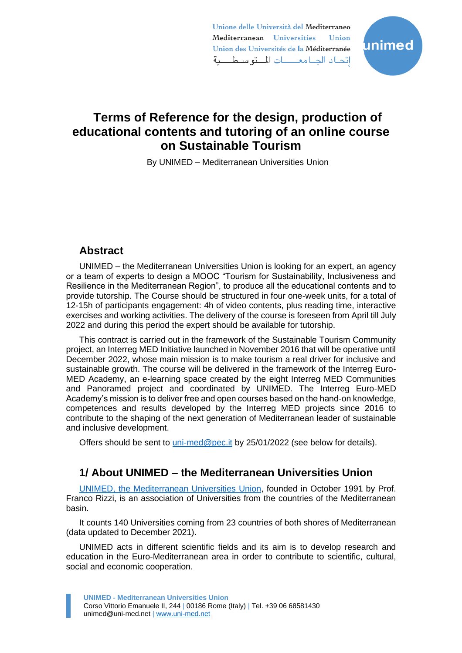Unione delle Università del Mediterraneo Mediterranean Universities **Ilpion** Union des Universités de la Méditerranée إتحاد الجامعات المتوسطية



# **Terms of Reference for the design, production of educational contents and tutoring of an online course on Sustainable Tourism**

By UNIMED – Mediterranean Universities Union

## **Abstract**

UNIMED – the Mediterranean Universities Union is looking for an expert, an agency or a team of experts to design a MOOC "Tourism for Sustainability, Inclusiveness and Resilience in the Mediterranean Region", to produce all the educational contents and to provide tutorship. The Course should be structured in four one-week units, for a total of 12-15h of participants engagement: 4h of video contents, plus reading time, interactive exercises and working activities. The delivery of the course is foreseen from April till July 2022 and during this period the expert should be available for tutorship.

This contract is carried out in the framework of the Sustainable Tourism Community project, an Interreg MED Initiative launched in November 2016 that will be operative until December 2022, whose main mission is to make tourism a real driver for inclusive and sustainable growth. The course will be delivered in the framework of the Interreg Euro-MED Academy, an e-learning space created by the eight Interreg MED Communities and Panoramed project and coordinated by UNIMED. The Interreg Euro-MED Academy's mission is to deliver free and open courses based on the hand-on knowledge, competences and results developed by the Interreg MED projects since 2016 to contribute to the shaping of the next generation of Mediterranean leader of sustainable and inclusive development.

Offers should be sent to [uni-med@pec.it](mailto:uni-med@pec.it) by 25/01/2022 (see below for details).

# **1/ About UNIMED – the Mediterranean Universities Union**

[UNIMED, the Mediterranean Universities Union,](http://www.uni-med.net/en) founded in October 1991 by Prof. Franco Rizzi, is an association of Universities from the countries of the Mediterranean basin.

It counts 140 Universities coming from 23 countries of both shores of Mediterranean (data updated to December 2021).

UNIMED acts in different scientific fields and its aim is to develop research and education in the Euro-Mediterranean area in order to contribute to scientific, cultural, social and economic cooperation.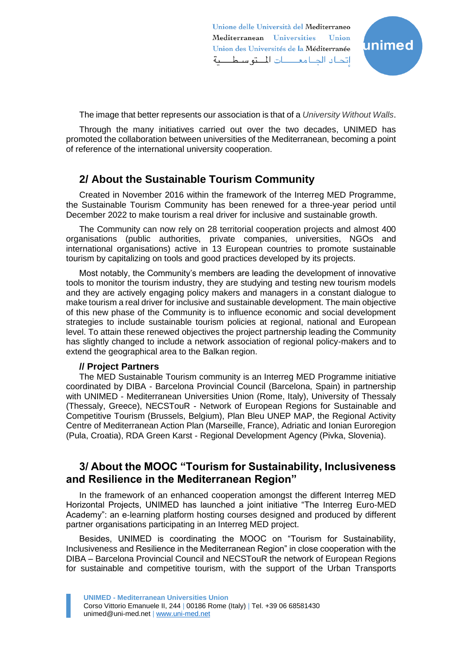Unione delle Università del Mediterraneo Mediterranean Universities Union Union des Universités de la Méditerranée إتحاد الجامعات المتوسطية



The image that better represents our association is that of a *University Without Walls*.

Through the many initiatives carried out over the two decades, UNIMED has promoted the collaboration between universities of the Mediterranean, becoming a point of reference of the international university cooperation.

# **2/ About the Sustainable Tourism Community**

Created in November 2016 within the framework of the Interreg MED Programme, the Sustainable Tourism Community has been renewed for a three-year period until December 2022 to make tourism a real driver for inclusive and sustainable growth.

The Community can now rely on 28 territorial cooperation projects and almost 400 organisations (public authorities, private companies, universities, NGOs and international organisations) active in 13 European countries to promote sustainable tourism by capitalizing on tools and good practices developed by its projects.

Most notably, the Community's members are leading the development of innovative tools to monitor the tourism industry, they are studying and testing new tourism models and they are actively engaging policy makers and managers in a constant dialogue to make tourism a real driver for inclusive and sustainable development. The main objective of this new phase of the Community is to influence economic and social development strategies to include sustainable tourism policies at regional, national and European level. To attain these renewed objectives the project partnership leading the Community has slightly changed to include a network association of regional policy-makers and to extend the geographical area to the Balkan region.

## **// Project Partners**

The MED Sustainable Tourism community is an Interreg MED Programme initiative coordinated by DIBA - Barcelona Provincial Council (Barcelona, Spain) in partnership with UNIMED - Mediterranean Universities Union (Rome, Italy), University of Thessaly (Thessaly, Greece), NECSTouR - Network of European Regions for Sustainable and Competitive Tourism (Brussels, Belgium), Plan Bleu UNEP MAP, the Regional Activity Centre of Mediterranean Action Plan (Marseille, France), Adriatic and Ionian Euroregion (Pula, Croatia), RDA Green Karst - Regional Development Agency (Pivka, Slovenia).

# **3/ About the MOOC "Tourism for Sustainability, Inclusiveness and Resilience in the Mediterranean Region"**

In the framework of an enhanced cooperation amongst the different Interreg MED Horizontal Projects, UNIMED has launched a joint initiative "The Interreg Euro-MED Academy": an e-learning platform hosting courses designed and produced by different partner organisations participating in an Interreg MED project.

Besides, UNIMED is coordinating the MOOC on "Tourism for Sustainability, Inclusiveness and Resilience in the Mediterranean Region" in close cooperation with the DIBA – Barcelona Provincial Council and NECSTouR the network of European Regions for sustainable and competitive tourism, with the support of the Urban Transports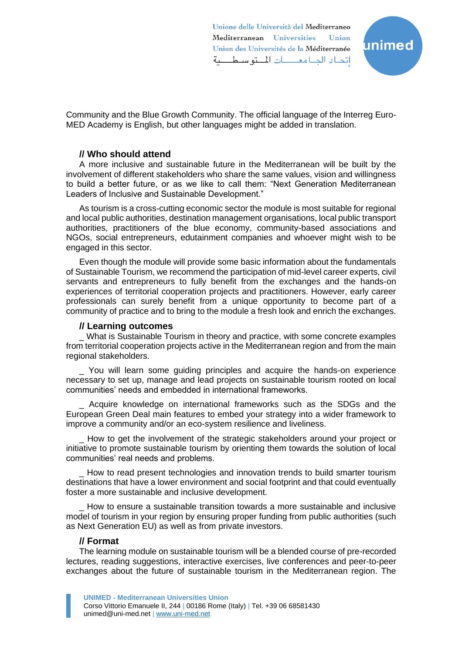Unione delle Università del Mediterraneo Mediterranean Universities **Ilpion** Union des Universités de la Méditerranée اتحاد الجامعات المتوسطية



Community and the Blue Growth Community. The official language of the Interreg Euro-MED Academy is English, but other languages might be added in translation.

## **// Who should attend**

A more inclusive and sustainable future in the Mediterranean will be built by the involvement of different stakeholders who share the same values, vision and willingness to build a better future, or as we like to call them: "Next Generation Mediterranean Leaders of Inclusive and Sustainable Development."

As tourism is a cross-cutting economic sector the module is most suitable for regional and local public authorities, destination management organisations, local public transport authorities, practitioners of the blue economy, community-based associations and NGOs, social entrepreneurs, edutainment companies and whoever might wish to be engaged in this sector.

Even though the module will provide some basic information about the fundamentals of Sustainable Tourism, we recommend the participation of mid-level career experts, civil servants and entrepreneurs to fully benefit from the exchanges and the hands-on experiences of territorial cooperation projects and practitioners. However, early career professionals can surely benefit from a unique opportunity to become part of a community of practice and to bring to the module a fresh look and enrich the exchanges.

#### **// Learning outcomes**

What is Sustainable Tourism in theory and practice, with some concrete examples from territorial cooperation projects active in the Mediterranean region and from the main regional stakeholders.

\_ You will learn some guiding principles and acquire the hands-on experience necessary to set up, manage and lead projects on sustainable tourism rooted on local communities' needs and embedded in international frameworks.

\_ Acquire knowledge on international frameworks such as the SDGs and the European Green Deal main features to embed your strategy into a wider framework to improve a community and/or an eco-system resilience and liveliness.

How to get the involvement of the strategic stakeholders around your project or initiative to promote sustainable tourism by orienting them towards the solution of local communities' real needs and problems.

\_ How to read present technologies and innovation trends to build smarter tourism destinations that have a lower environment and social footprint and that could eventually foster a more sustainable and inclusive development.

\_ How to ensure a sustainable transition towards a more sustainable and inclusive model of tourism in your region by ensuring proper funding from public authorities (such as Next Generation EU) as well as from private investors.

## **// Format**

The learning module on sustainable tourism will be a blended course of pre-recorded lectures, reading suggestions, interactive exercises, live conferences and peer-to-peer exchanges about the future of sustainable tourism in the Mediterranean region. The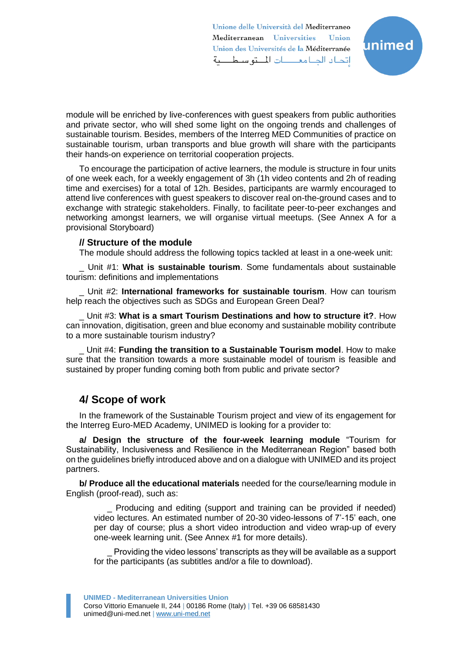Unione delle Università del Mediterraneo Mediterranean Universities Union Union des Universités de la Méditerranée اتحاد الجامعات المتوسطية



module will be enriched by live-conferences with guest speakers from public authorities and private sector, who will shed some light on the ongoing trends and challenges of sustainable tourism. Besides, members of the Interreg MED Communities of practice on sustainable tourism, urban transports and blue growth will share with the participants their hands-on experience on territorial cooperation projects.

To encourage the participation of active learners, the module is structure in four units of one week each, for a weekly engagement of 3h (1h video contents and 2h of reading time and exercises) for a total of 12h. Besides, participants are warmly encouraged to attend live conferences with guest speakers to discover real on-the-ground cases and to exchange with strategic stakeholders. Finally, to facilitate peer-to-peer exchanges and networking amongst learners, we will organise virtual meetups. (See Annex A for a provisional Storyboard)

#### **// Structure of the module**

The module should address the following topics tackled at least in a one-week unit:

\_ Unit #1: **What is sustainable tourism**. Some fundamentals about sustainable tourism: definitions and implementations

\_ Unit #2: **International frameworks for sustainable tourism**. How can tourism help reach the objectives such as SDGs and European Green Deal?

\_ Unit #3: **What is a smart Tourism Destinations and how to structure it?**. How can innovation, digitisation, green and blue economy and sustainable mobility contribute to a more sustainable tourism industry?

\_ Unit #4: **Funding the transition to a Sustainable Tourism model**. How to make sure that the transition towards a more sustainable model of tourism is feasible and sustained by proper funding coming both from public and private sector?

## **4/ Scope of work**

In the framework of the Sustainable Tourism project and view of its engagement for the Interreg Euro-MED Academy, UNIMED is looking for a provider to:

**a/ Design the structure of the four-week learning module** "Tourism for Sustainability, Inclusiveness and Resilience in the Mediterranean Region" based both on the guidelines briefly introduced above and on a dialogue with UNIMED and its project partners.

**b/ Produce all the educational materials** needed for the course/learning module in English (proof-read), such as:

\_ Producing and editing (support and training can be provided if needed) video lectures. An estimated number of 20-30 video-lessons of 7'-15' each, one per day of course; plus a short video introduction and video wrap-up of every one-week learning unit. (See Annex #1 for more details).

\_ Providing the video lessons' transcripts as they will be available as a support for the participants (as subtitles and/or a file to download).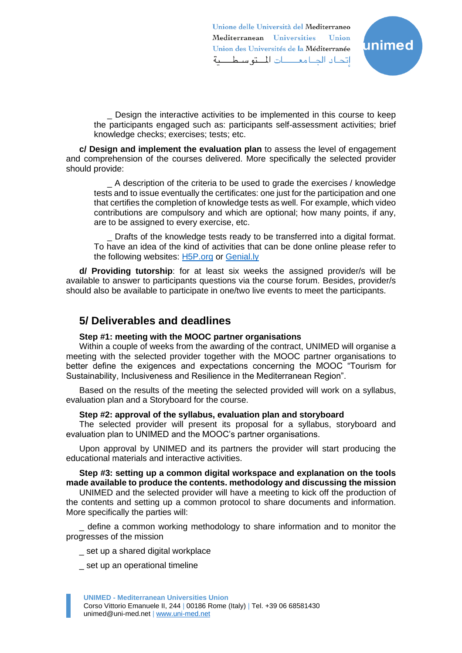Unione delle Università del Mediterraneo Mediterranean Universities **Ilnion** Union des Universités de la Méditerranée إتحاد الجامعات المتوسطية



Design the interactive activities to be implemented in this course to keep the participants engaged such as: participants self-assessment activities; brief knowledge checks; exercises; tests; etc.

**c/ Design and implement the evaluation plan** to assess the level of engagement and comprehension of the courses delivered. More specifically the selected provider should provide:

\_ A description of the criteria to be used to grade the exercises / knowledge tests and to issue eventually the certificates: one just for the participation and one that certifies the completion of knowledge tests as well. For example, which video contributions are compulsory and which are optional; how many points, if any, are to be assigned to every exercise, etc.

\_ Drafts of the knowledge tests ready to be transferred into a digital format. To have an idea of the kind of activities that can be done online please refer to the following websites: **H5P.org or [Genial.ly](https://genial.ly/)** 

**d/ Providing tutorship**: for at least six weeks the assigned provider/s will be available to answer to participants questions via the course forum. Besides, provider/s should also be available to participate in one/two live events to meet the participants.

## **5/ Deliverables and deadlines**

#### **Step #1: meeting with the MOOC partner organisations**

Within a couple of weeks from the awarding of the contract, UNIMED will organise a meeting with the selected provider together with the MOOC partner organisations to better define the exigences and expectations concerning the MOOC "Tourism for Sustainability, Inclusiveness and Resilience in the Mediterranean Region".

Based on the results of the meeting the selected provided will work on a syllabus, evaluation plan and a Storyboard for the course.

#### **Step #2: approval of the syllabus, evaluation plan and storyboard**

The selected provider will present its proposal for a syllabus, storyboard and evaluation plan to UNIMED and the MOOC's partner organisations.

Upon approval by UNIMED and its partners the provider will start producing the educational materials and interactive activities.

### **Step #3: setting up a common digital workspace and explanation on the tools made available to produce the contents. methodology and discussing the mission**

UNIMED and the selected provider will have a meeting to kick off the production of the contents and setting up a common protocol to share documents and information. More specifically the parties will:

\_ define a common working methodology to share information and to monitor the progresses of the mission

- \_ set up a shared digital workplace
- set up an operational timeline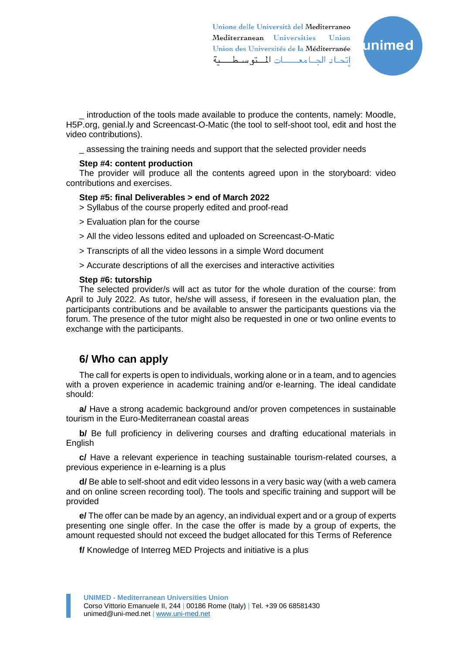Unione delle Università del Mediterraneo Mediterranean Universities Union Union des Universités de la Méditerranée اتحاد الجامعــــات المــتوسـطـــية



introduction of the tools made available to produce the contents, namely: Moodle, H5P.org, genial.ly and Screencast-O-Matic (the tool to self-shoot tool, edit and host the video contributions).

assessing the training needs and support that the selected provider needs

## **Step #4: content production**

The provider will produce all the contents agreed upon in the storyboard: video contributions and exercises.

#### **Step #5: final Deliverables > end of March 2022**

- > Syllabus of the course properly edited and proof-read
- > Evaluation plan for the course
- > All the video lessons edited and uploaded on Screencast-O-Matic
- > Transcripts of all the video lessons in a simple Word document
- > Accurate descriptions of all the exercises and interactive activities

#### **Step #6: tutorship**

The selected provider/s will act as tutor for the whole duration of the course: from April to July 2022. As tutor, he/she will assess, if foreseen in the evaluation plan, the participants contributions and be available to answer the participants questions via the forum. The presence of the tutor might also be requested in one or two online events to exchange with the participants.

# **6/ Who can apply**

The call for experts is open to individuals, working alone or in a team, and to agencies with a proven experience in academic training and/or e-learning. The ideal candidate should:

**a/** Have a strong academic background and/or proven competences in sustainable tourism in the Euro-Mediterranean coastal areas

**b/** Be full proficiency in delivering courses and drafting educational materials in English

**c/** Have a relevant experience in teaching sustainable tourism-related courses, a previous experience in e-learning is a plus

**d/** Be able to self-shoot and edit video lessons in a very basic way (with a web camera and on online screen recording tool). The tools and specific training and support will be provided

**e/** The offer can be made by an agency, an individual expert and or a group of experts presenting one single offer. In the case the offer is made by a group of experts, the amount requested should not exceed the budget allocated for this Terms of Reference

**f/** Knowledge of Interreg MED Projects and initiative is a plus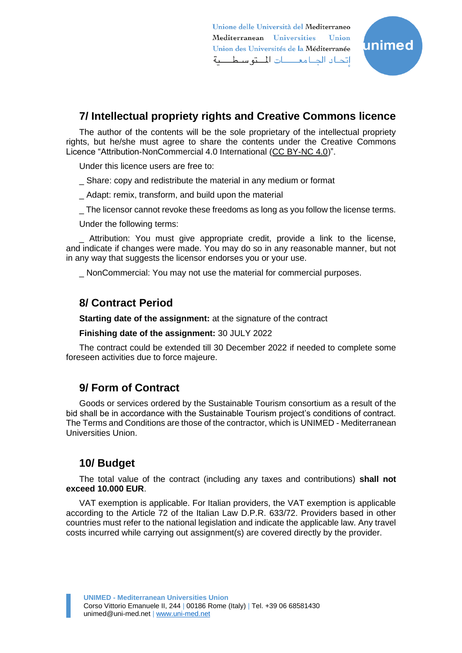Unione delle Università del Mediterraneo Mediterranean Universities **Ilpion** Union des Universités de la Méditerranée اتحاد الجامعــــات المــتوسـطـــية



# **7/ Intellectual propriety rights and Creative Commons licence**

The author of the contents will be the sole proprietary of the intellectual propriety rights, but he/she must agree to share the contents under the Creative Commons Licence "Attribution-NonCommercial 4.0 International [\(CC BY-NC 4.0\)](https://creativecommons.org/licenses/by-nc/4.0/)".

Under this licence users are free to:

- \_ Share: copy and redistribute the material in any medium or format
- \_ Adapt: remix, transform, and build upon the material
- \_ The licensor cannot revoke these freedoms as long as you follow the license terms.

Under the following terms:

Attribution: You must give appropriate credit, provide a link to the license, and indicate if changes were made. You may do so in any reasonable manner, but not in any way that suggests the licensor endorses you or your use.

\_ NonCommercial: You may not use the material for commercial purposes.

# **8/ Contract Period**

**Starting date of the assignment:** at the signature of the contract

**Finishing date of the assignment:** 30 JULY 2022

The contract could be extended till 30 December 2022 if needed to complete some foreseen activities due to force majeure.

# **9/ Form of Contract**

Goods or services ordered by the Sustainable Tourism consortium as a result of the bid shall be in accordance with the Sustainable Tourism project's conditions of contract. The Terms and Conditions are those of the contractor, which is UNIMED - Mediterranean Universities Union.

# **10/ Budget**

The total value of the contract (including any taxes and contributions) **shall not exceed 10.000 EUR**.

VAT exemption is applicable. For Italian providers, the VAT exemption is applicable according to the Article 72 of the Italian Law D.P.R. 633/72. Providers based in other countries must refer to the national legislation and indicate the applicable law. Any travel costs incurred while carrying out assignment(s) are covered directly by the provider.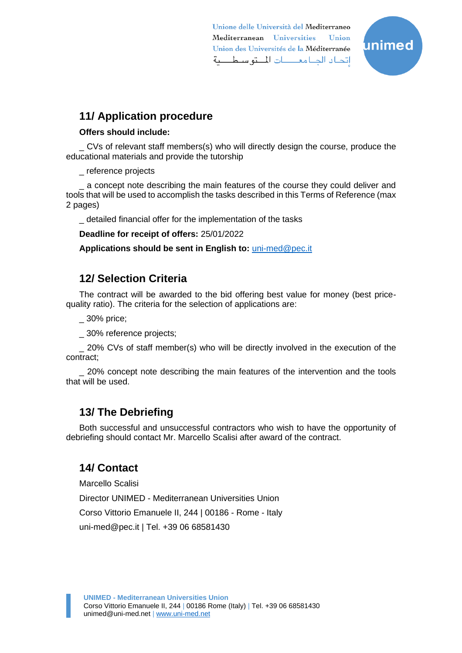Unione delle Università del Mediterraneo Mediterranean Universities Union Union des Universités de la Méditerranée اتحاد الجامعــــات المــتوسـطـــية



# **11/ Application procedure**

## **Offers should include:**

\_ CVs of relevant staff members(s) who will directly design the course, produce the educational materials and provide the tutorship

\_ reference projects

\_ a concept note describing the main features of the course they could deliver and tools that will be used to accomplish the tasks described in this Terms of Reference (max 2 pages)

\_ detailed financial offer for the implementation of the tasks

**Deadline for receipt of offers:** 25/01/2022

**Applications should be sent in English to:** [uni-med@pec.it](mailto:uni-med@pec.it)

# **12/ Selection Criteria**

The contract will be awarded to the bid offering best value for money (best pricequality ratio). The criteria for the selection of applications are:

\_ 30% price;

\_ 30% reference projects;

\_ 20% CVs of staff member(s) who will be directly involved in the execution of the contract;

\_ 20% concept note describing the main features of the intervention and the tools that will be used.

# **13/ The Debriefing**

Both successful and unsuccessful contractors who wish to have the opportunity of debriefing should contact Mr. Marcello Scalisi after award of the contract.

# **14/ Contact**

Marcello Scalisi

Director UNIMED - Mediterranean Universities Union Corso Vittorio Emanuele II, 244 | 00186 - Rome - Italy uni-med@pec.it | Tel. +39 06 68581430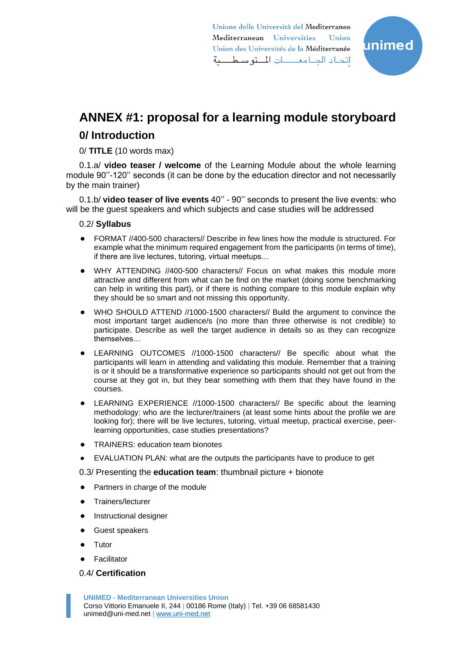Unione delle Università del Mediterraneo Mediterranean Universities **Ilpion** Union des Universités de la Méditerranée اتحاد الجامعــــات المــتوسـطـــية



# **ANNEX #1: proposal for a learning module storyboard**

# **0/ Introduction**

0/ **TITLE** (10 words max)

0.1.a/ **video teaser / welcome** of the Learning Module about the whole learning module 90''-120'' seconds (it can be done by the education director and not necessarily by the main trainer)

0.1.b/ **video teaser of live events** 40'' - 90'' seconds to present the live events: who will be the guest speakers and which subjects and case studies will be addressed

## 0.2/ **Syllabus**

- FORMAT //400-500 characters// Describe in few lines how the module is structured. For example what the minimum required engagement from the participants (in terms of time), if there are live lectures, tutoring, virtual meetups…
- WHY ATTENDING //400-500 characters// Focus on what makes this module more attractive and different from what can be find on the market (doing some benchmarking can help in writing this part), or if there is nothing compare to this module explain why they should be so smart and not missing this opportunity.
- WHO SHOULD ATTEND //1000-1500 characters// Build the argument to convince the most important target audience/s (no more than three otherwise is not credible) to participate. Describe as well the target audience in details so as they can recognize themselves…
- LEARNING OUTCOMES //1000-1500 characters// Be specific about what the participants will learn in attending and validating this module. Remember that a training is or it should be a transformative experience so participants should not get out from the course at they got in, but they bear something with them that they have found in the courses.
- LEARNING EXPERIENCE //1000-1500 characters// Be specific about the learning methodology: who are the lecturer/trainers (at least some hints about the profile we are looking for); there will be live lectures, tutoring, virtual meetup, practical exercise, peerlearning opportunities, case studies presentations?
- TRAINERS: education team bionotes
- EVALUATION PLAN: what are the outputs the participants have to produce to get

## 0.3/ Presenting the **education team**: thumbnail picture + bionote

- Partners in charge of the module
- Trainers/lecturer
- **Instructional designer**
- **Guest speakers**
- **Tutor**
- Facilitator

## 0.4/ **Certification**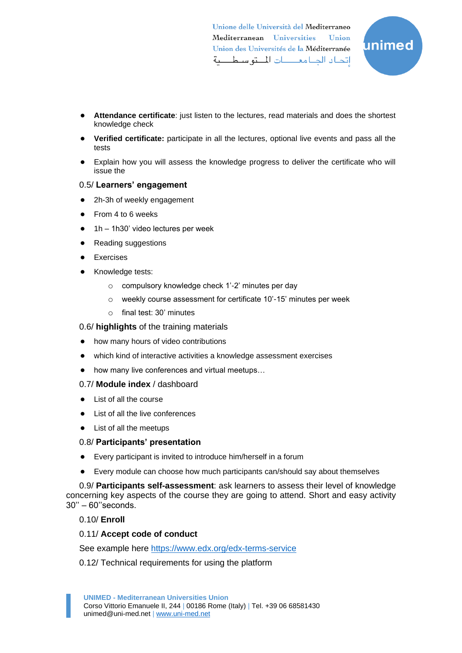Unione delle Università del Mediterraneo Mediterranean Universities Union Union des Universités de la Méditerranée اتحاد الجامعـــات المــتوسـطـــية



- Attendance certificate: just listen to the lectures, read materials and does the shortest knowledge check
- **Verified certificate:** participate in all the lectures, optional live events and pass all the tests
- Explain how you will assess the knowledge progress to deliver the certificate who will issue the

#### 0.5/ **Learners' engagement**

- 2h-3h of weekly engagement
- From 4 to 6 weeks
- 1h 1h30' video lectures per week
- Reading suggestions
- **Exercises**
- Knowledge tests:
	- o compulsory knowledge check 1'-2' minutes per day
	- o weekly course assessment for certificate 10'-15' minutes per week
	- o final test: 30' minutes

#### 0.6/ **highlights** of the training materials

- how many hours of video contributions
- which kind of interactive activities a knowledge assessment exercises
- how many live conferences and virtual meetups...

#### 0.7/ **Module index** / dashboard

- List of all the course
- List of all the live conferences
- List of all the meetups

#### 0.8/ **Participants' presentation**

- Every participant is invited to introduce him/herself in a forum
- Every module can choose how much participants can/should say about themselves

0.9/ **Participants self-assessment**: ask learners to assess their level of knowledge concerning key aspects of the course they are going to attend. Short and easy activity 30'' – 60''seconds.

## 0.10/ **Enroll**

#### 0.11/ **Accept code of conduct**

See example here<https://www.edx.org/edx-terms-service>

0.12/ Technical requirements for using the platform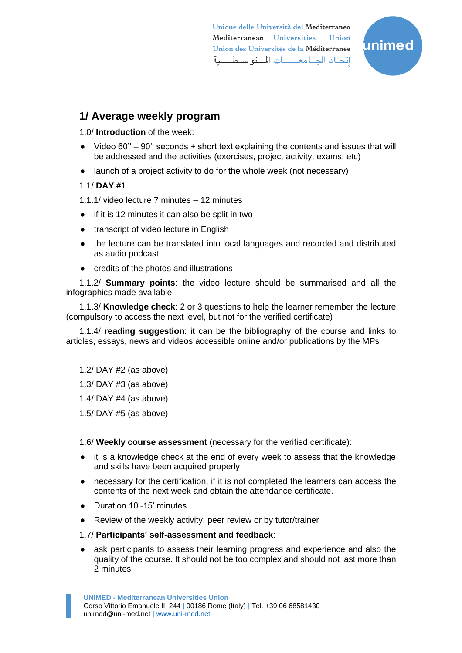Unione delle Università del Mediterraneo Mediterranean Universities Union Union des Universités de la Méditerranée اتحاد الجامعــــات المــتوسـطـــية



# **1/ Average weekly program**

1.0/ **Introduction** of the week:

- $\bullet$  Video 60" 90" seconds + short text explaining the contents and issues that will be addressed and the activities (exercises, project activity, exams, etc)
- launch of a project activity to do for the whole week (not necessary)

## 1.1/ **DAY #1**

- 1.1.1/ video lecture 7 minutes 12 minutes
- if it is 12 minutes it can also be split in two
- transcript of video lecture in English
- the lecture can be translated into local languages and recorded and distributed as audio podcast
- credits of the photos and illustrations

1.1.2/ **Summary points**: the video lecture should be summarised and all the infographics made available

1.1.3/ **Knowledge check**: 2 or 3 questions to help the learner remember the lecture (compulsory to access the next level, but not for the verified certificate)

1.1.4/ **reading suggestion**: it can be the bibliography of the course and links to articles, essays, news and videos accessible online and/or publications by the MPs

- 1.2/ DAY #2 (as above)
- 1.3/ DAY #3 (as above)
- 1.4/ DAY #4 (as above)
- 1.5/ DAY #5 (as above)

1.6/ **Weekly course assessment** (necessary for the verified certificate):

- it is a knowledge check at the end of every week to assess that the knowledge and skills have been acquired properly
- necessary for the certification, if it is not completed the learners can access the contents of the next week and obtain the attendance certificate.
- Duration 10'-15' minutes
- Review of the weekly activity: peer review or by tutor/trainer

## 1.7/ **Participants' self-assessment and feedback**:

● ask participants to assess their learning progress and experience and also the quality of the course. It should not be too complex and should not last more than 2 minutes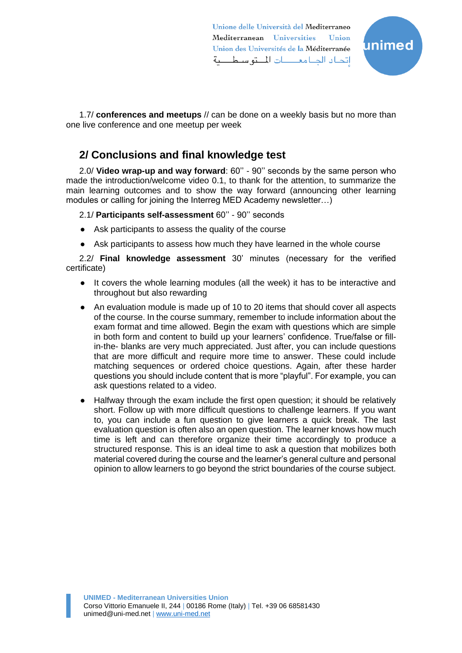Unione delle Università del Mediterraneo Mediterranean Universities **Ilpion** Union des Universités de la Méditerranée اتحاد الجامعات المتوسطية



1.7/ **conferences and meetups** // can be done on a weekly basis but no more than one live conference and one meetup per week

# **2/ Conclusions and final knowledge test**

2.0/ **Video wrap-up and way forward**: 60'' - 90'' seconds by the same person who made the introduction/welcome video 0.1, to thank for the attention, to summarize the main learning outcomes and to show the way forward (announcing other learning modules or calling for joining the Interreg MED Academy newsletter…)

2.1/ **Participants self-assessment** 60'' - 90'' seconds

- Ask participants to assess the quality of the course
- Ask participants to assess how much they have learned in the whole course

2.2/ **Final knowledge assessment** 30' minutes (necessary for the verified certificate)

- It covers the whole learning modules (all the week) it has to be interactive and throughout but also rewarding
- An evaluation module is made up of 10 to 20 items that should cover all aspects of the course. In the course summary, remember to include information about the exam format and time allowed. Begin the exam with questions which are simple in both form and content to build up your learners' confidence. True/false or fillin-the- blanks are very much appreciated. Just after, you can include questions that are more difficult and require more time to answer. These could include matching sequences or ordered choice questions. Again, after these harder questions you should include content that is more "playful". For example, you can ask questions related to a video.
- Halfway through the exam include the first open question; it should be relatively short. Follow up with more difficult questions to challenge learners. If you want to, you can include a fun question to give learners a quick break. The last evaluation question is often also an open question. The learner knows how much time is left and can therefore organize their time accordingly to produce a structured response. This is an ideal time to ask a question that mobilizes both material covered during the course and the learner's general culture and personal opinion to allow learners to go beyond the strict boundaries of the course subject.